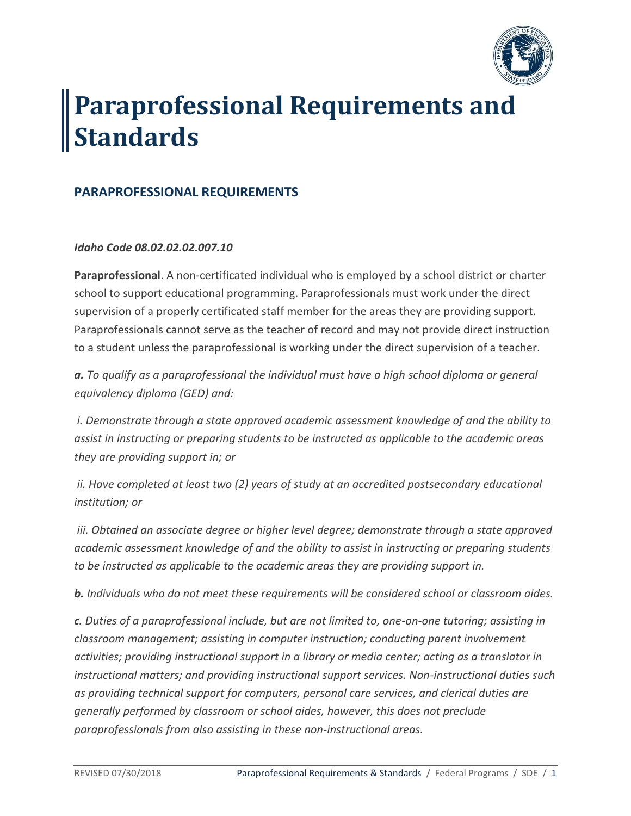

# **Paraprofessional Requirements and Standards**

## **PARAPROFESSIONAL REQUIREMENTS**

#### *Idaho Code 08.02.02.02.007.10*

**Paraprofessional**. A non-certificated individual who is employed by a school district or charter school to support educational programming. Paraprofessionals must work under the direct supervision of a properly certificated staff member for the areas they are providing support. Paraprofessionals cannot serve as the teacher of record and may not provide direct instruction to a student unless the paraprofessional is working under the direct supervision of a teacher.

*a. To qualify as a paraprofessional the individual must have a high school diploma or general equivalency diploma (GED) and:*

*i. Demonstrate through a state approved academic assessment knowledge of and the ability to assist in instructing or preparing students to be instructed as applicable to the academic areas they are providing support in; or* 

*ii. Have completed at least two (2) years of study at an accredited postsecondary educational institution; or* 

*iii. Obtained an associate degree or higher level degree; demonstrate through a state approved academic assessment knowledge of and the ability to assist in instructing or preparing students to be instructed as applicable to the academic areas they are providing support in.* 

*b. Individuals who do not meet these requirements will be considered school or classroom aides.* 

*c. Duties of a paraprofessional include, but are not limited to, one-on-one tutoring; assisting in classroom management; assisting in computer instruction; conducting parent involvement activities; providing instructional support in a library or media center; acting as a translator in instructional matters; and providing instructional support services. Non-instructional duties such as providing technical support for computers, personal care services, and clerical duties are generally performed by classroom or school aides, however, this does not preclude paraprofessionals from also assisting in these non-instructional areas.*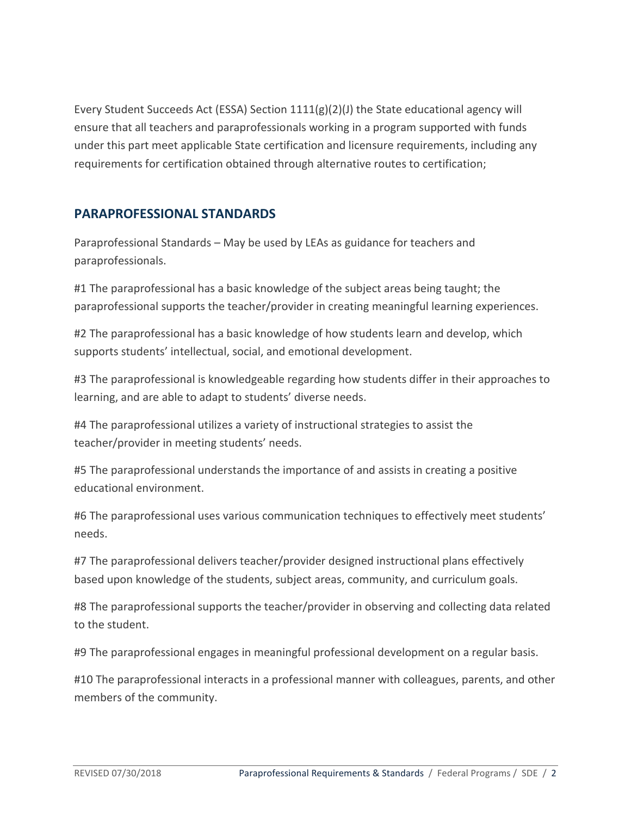Every Student Succeeds Act (ESSA) Section  $1111(g)(2)(J)$  the State educational agency will ensure that all teachers and paraprofessionals working in a program supported with funds under this part meet applicable State certification and licensure requirements, including any requirements for certification obtained through alternative routes to certification;

## **PARAPROFESSIONAL STANDARDS**

Paraprofessional Standards – May be used by LEAs as guidance for teachers and paraprofessionals.

#1 The paraprofessional has a basic knowledge of the subject areas being taught; the paraprofessional supports the teacher/provider in creating meaningful learning experiences.

#2 The paraprofessional has a basic knowledge of how students learn and develop, which supports students' intellectual, social, and emotional development.

#3 The paraprofessional is knowledgeable regarding how students differ in their approaches to learning, and are able to adapt to students' diverse needs.

#4 The paraprofessional utilizes a variety of instructional strategies to assist the teacher/provider in meeting students' needs.

#5 The paraprofessional understands the importance of and assists in creating a positive educational environment.

#6 The paraprofessional uses various communication techniques to effectively meet students' needs.

#7 The paraprofessional delivers teacher/provider designed instructional plans effectively based upon knowledge of the students, subject areas, community, and curriculum goals.

#8 The paraprofessional supports the teacher/provider in observing and collecting data related to the student.

#9 The paraprofessional engages in meaningful professional development on a regular basis.

#10 The paraprofessional interacts in a professional manner with colleagues, parents, and other members of the community.